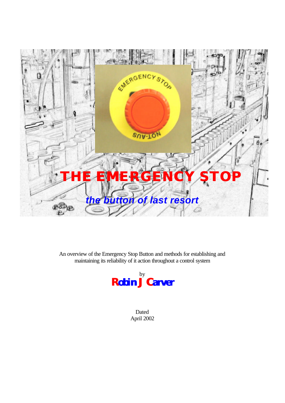

An overview of the Emergency Stop Button and methods for establishing and maintaining its reliability of it action throughout a control system



Dated April 2002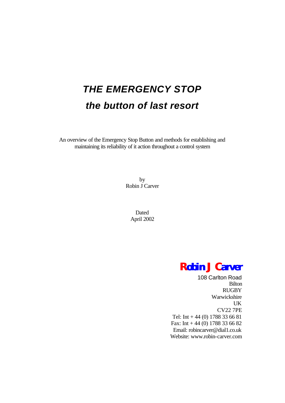# *THE EMERGENCY STOP the button of last resort*

An overview of the Emergency Stop Button and methods for establishing and maintaining its reliability of it action throughout a control system

> by Robin J Carver

> > Dated April 2002

## *Robin J Carver*

108 Carlton Road Bilton RUGBY Warwickshire UK CV22 7PE Tel: Int + 44 (0) 1788 33 66 81 Fax: Int + 44 (0) 1788 33 66 82 Email: robincarver@dial1.co.uk Website: www.robin-carver.com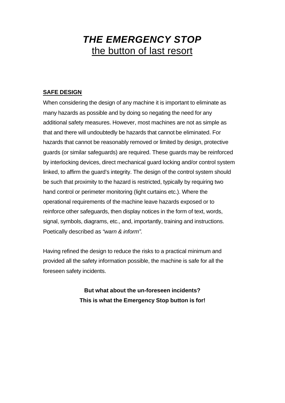## *THE EMERGENCY STOP* the button of last resort

#### **SAFE DESIGN**

When considering the design of any machine it is important to eliminate as many hazards as possible and by doing so negating the need for any additional safety measures. However, most machines are not as simple as that and there will undoubtedly be hazards that cannot be eliminated. For hazards that cannot be reasonably removed or limited by design, protective guards (or similar safeguards) are required. These guards may be reinforced by interlocking devices, direct mechanical guard locking and/or control system linked, to affirm the guard's integrity. The design of the control system should be such that proximity to the hazard is restricted, typically by requiring two hand control or perimeter monitoring (light curtains etc.). Where the operational requirements of the machine leave hazards exposed or to reinforce other safeguards, then display notices in the form of text, words, signal, symbols, diagrams, etc., and, importantly, training and instructions. Poetically described as *"warn & inform"*.

Having refined the design to reduce the risks to a practical minimum and provided all the safety information possible, the machine is safe for all the foreseen safety incidents.

> **But what about the un-foreseen incidents? This is what the Emergency Stop button is for!**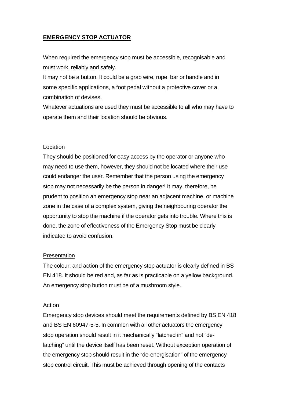## **EMERGENCY STOP ACTUATOR**

When required the emergency stop must be accessible, recognisable and must work, reliably and safely.

It may not be a button. It could be a grab wire, rope, bar or handle and in some specific applications, a foot pedal without a protective cover or a combination of devises.

Whatever actuations are used they must be accessible to all who may have to operate them and their location should be obvious.

#### Location

They should be positioned for easy access by the operator or anyone who may need to use them, however, they should not be located where their use could endanger the user. Remember that the person using the emergency stop may not necessarily be the person in danger! It may, therefore, be prudent to position an emergency stop near an adjacent machine, or machine zone in the case of a complex system, giving the neighbouring operator the opportunity to stop the machine if the operator gets into trouble. Where this is done, the zone of effectiveness of the Emergency Stop must be clearly indicated to avoid confusion.

#### Presentation

The colour, and action of the emergency stop actuator is clearly defined in BS EN 418. It should be red and, as far as is practicable on a yellow background. An emergency stop button must be of a mushroom style.

#### Action

Emergency stop devices should meet the requirements defined by BS EN 418 and BS EN 60947-5-5. In common with all other actuators the emergency stop operation should result in it mechanically "latched in" and not "delatching" until the device itself has been reset. Without exception operation of the emergency stop should result in the "de-energisation" of the emergency stop control circuit. This must be achieved through opening of the contacts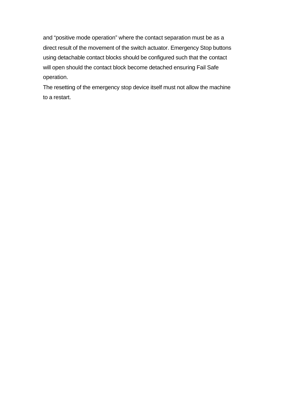and "positive mode operation" where the contact separation must be as a direct result of the movement of the switch actuator. Emergency Stop buttons using detachable contact blocks should be configured such that the contact will open should the contact block become detached ensuring Fail Safe operation.

The resetting of the emergency stop device itself must not allow the machine to a restart.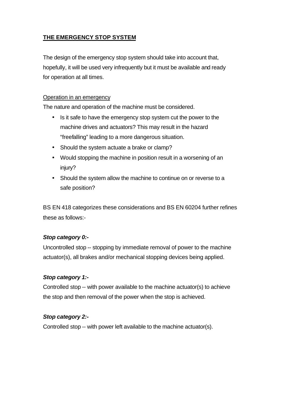## **THE EMERGENCY STOP SYSTEM**

The design of the emergency stop system should take into account that, hopefully, it will be used very infrequently but it must be available and ready for operation at all times.

#### Operation in an emergency

The nature and operation of the machine must be considered.

- Is it safe to have the emergency stop system cut the power to the machine drives and actuators? This may result in the hazard "freefalling" leading to a more dangerous situation.
- Should the system actuate a brake or clamp?
- Would stopping the machine in position result in a worsening of an injury?
- Should the system allow the machine to continue on or reverse to a safe position?

BS EN 418 categorizes these considerations and BS EN 60204 further refines these as follows:-

#### *Stop category 0:-*

Uncontrolled stop -- stopping by immediate removal of power to the machine actuator(s), all brakes and/or mechanical stopping devices being applied.

#### *Stop category 1:-*

Controlled stop -- with power available to the machine actuator(s) to achieve the stop and then removal of the power when the stop is achieved.

#### *Stop category 2:-*

Controlled stop -- with power left available to the machine actuator(s).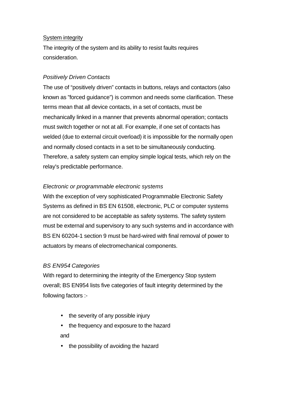#### System integrity

The integrity of the system and its ability to resist faults requires consideration.

## *Positively Driven Contacts*

The use of "positively driven" contacts in buttons, relays and contactors (also known as "forced guidance") is common and needs some clarification. These terms mean that all device contacts, in a set of contacts, must be mechanically linked in a manner that prevents abnormal operation; contacts must switch together or not at all. For example, if one set of contacts has welded (due to external circuit overload) it is impossible for the normally open and normally closed contacts in a set to be simultaneously conducting. Therefore, a safety system can employ simple logical tests, which rely on the relay's predictable performance.

## *Electronic or programmable electronic systems*

With the exception of very sophisticated Programmable Electronic Safety Systems as defined in BS EN 61508, electronic, PLC or computer systems are not considered to be acceptable as safety systems. The safety system must be external and supervisory to any such systems and in accordance with BS EN 60204-1 section 9 must be hard-wired with final removal of power to actuators by means of electromechanical components.

#### *BS EN954 Categories*

With regard to determining the integrity of the Emergency Stop system overall; BS EN954 lists five categories of fault integrity determined by the following factors :-

- the severity of any possible injury
- the frequency and exposure to the hazard and
- the possibility of avoiding the hazard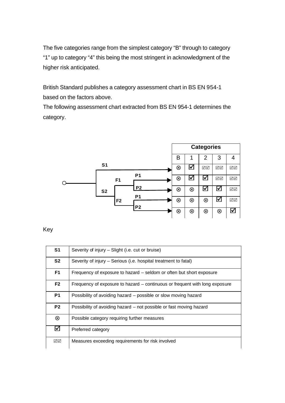The five categories range from the simplest category "B" through to category "1" up to category "4" this being the most stringent in acknowledgment of the higher risk anticipated.

British Standard publishes a category assessment chart in BS EN 954-1 based on the factors above.

The following assessment chart extracted from BS EN 954-1 determines the category.



Key

| S <sub>1</sub> | Severity of injury – Slight (i.e. cut or bruise)                            |
|----------------|-----------------------------------------------------------------------------|
| S <sub>2</sub> | Severity of injury – Serious (i.e. hospital treatment to fatal)             |
| F <sub>1</sub> | Frequency of exposure to hazard – seldom or often but short exposure        |
| F <sub>2</sub> | Frequency of exposure to hazard – continuous or frequent with long exposure |
| <b>P1</b>      | Possibility of avoiding hazard – possible or slow moving hazard             |
| P <sub>2</sub> | Possibility of avoiding hazard – not possible or fast moving hazard         |
| ⊗              | Possible category requiring further measures                                |
| $\boxtimes$    | Preferred category                                                          |
| √⊠             | Measures exceeding requirements for risk involved                           |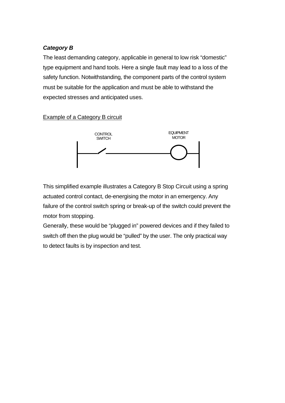## *Category B*

The least demanding category, applicable in general to low risk "domestic" type equipment and hand tools. Here a single fault may lead to a loss of the safety function. Notwithstanding, the component parts of the control system must be suitable for the application and must be able to withstand the expected stresses and anticipated uses.

#### Example of a Category B circuit



This simplified example illustrates a Category B Stop Circuit using a spring actuated control contact, de-energising the motor in an emergency. Any failure of the control switch spring or break-up of the switch could prevent the motor from stopping.

Generally, these would be "plugged in" powered devices and if they failed to switch off then the plug would be "pulled" by the user. The only practical way to detect faults is by inspection and test.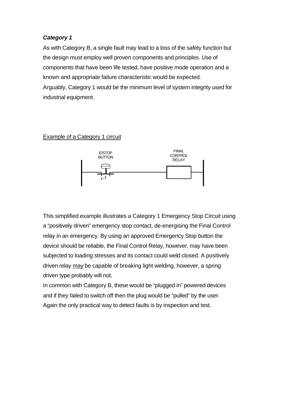As with Category B, a single fault may lead to a loss of the safety function but the design must employ well proven components and principles. Use of components that have been life tested, have positive mode operation and a known and appropriate failure characteristic would be expected.

Arguably, Category 1 would be the minimum level of system integrity used for industrial equipment.

#### Example of a Category 1 circuit



This simplified example illustrates a Category 1 Emergency Stop Circuit using a "positively driven" emergency stop contact, de-energising the Final Control relay in an emergency. By using an approved Emergency Stop button the device should be reliable, the Final Control Relay, however, may have been subjected to loading stresses and its contact could weld closed. A positively driven relay may be capable of breaking light welding, however, a spring driven type probably will not.

In common with Category B, these would be "plugged in" powered devices and if they failed to switch off then the plug would be "pulled" by the user. Again the only practical way to detect faults is by inspection and test.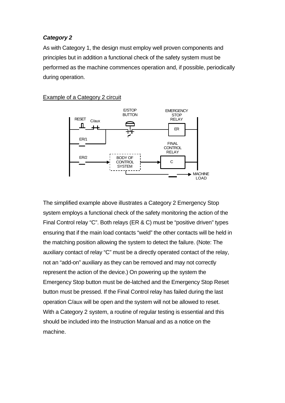As with Category 1, the design must employ well proven components and principles but in addition a functional check of the safety system must be performed as the machine commences operation and, if possible, periodically during operation.



Example of a Category 2 circuit

The simplified example above illustrates a Category 2 Emergency Stop system employs a functional check of the safety monitoring the action of the Final Control relay "C". Both relays (ER & C) must be "positive driven" types ensuring that if the main load contacts "weld" the other contacts will be held in the matching position allowing the system to detect the failure. (Note: The auxiliary contact of relay "C" must be a directly operated contact of the relay, not an "add-on" auxiliary as they can be removed and may not correctly represent the action of the device.) On powering up the system the Emergency Stop button must be de-latched and the Emergency Stop Reset button must be pressed. If the Final Control relay has failed during the last operation C/aux will be open and the system will not be allowed to reset. With a Category 2 system, a routine of regular testing is essential and this should be included into the Instruction Manual and as a notice on the machine.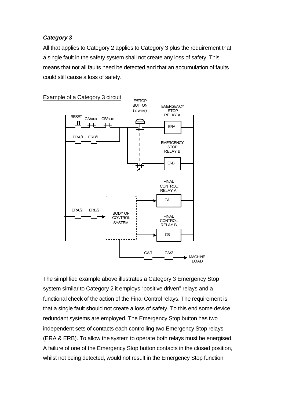All that applies to Category 2 applies to Category 3 plus the requirement that a single fault in the safety system shall not create any loss of safety. This means that not all faults need be detected and that an accumulation of faults could still cause a loss of safety.



The simplified example above illustrates a Category 3 Emergency Stop system similar to Category 2 it employs "positive driven" relays and a functional check of the action of the Final Control relays. The requirement is that a single fault should not create a loss of safety. To this end some device redundant systems are employed. The Emergency Stop button has two independent sets of contacts each controlling two Emergency Stop relays (ERA & ERB). To allow the system to operate both relays must be energised. A failure of one of the Emergency Stop button contacts in the closed position, whilst not being detected, would not result in the Emergency Stop function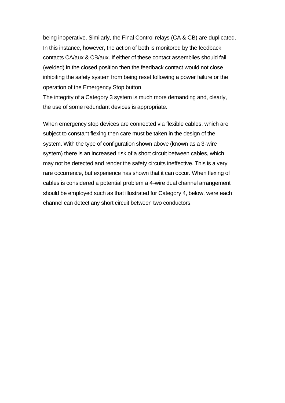being inoperative. Similarly, the Final Control relays (CA & CB) are duplicated. In this instance, however, the action of both is monitored by the feedback contacts CA/aux & CB/aux. If either of these contact assemblies should fail (welded) in the closed position then the feedback contact would not close inhibiting the safety system from being reset following a power failure or the operation of the Emergency Stop button.

The integrity of a Category 3 system is much more demanding and, clearly, the use of some redundant devices is appropriate.

When emergency stop devices are connected via flexible cables, which are subject to constant flexing then care must be taken in the design of the system. With the type of configuration shown above (known as a 3-wire system) there is an increased risk of a short circuit between cables, which may not be detected and render the safety circuits ineffective. This is a very rare occurrence, but experience has shown that it can occur. When flexing of cables is considered a potential problem a 4-wire dual channel arrangement should be employed such as that illustrated for Category 4, below, were each channel can detect any short circuit between two conductors.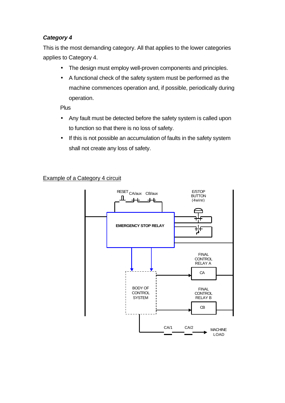This is the most demanding category. All that applies to the lower categories applies to Category 4.

- The design must employ well-proven components and principles.
- A functional check of the safety system must be performed as the machine commences operation and, if possible, periodically during operation.

Plus

- Any fault must be detected before the safety system is called upon to function so that there is no loss of safety.
- If this is not possible an accumulation of faults in the safety system shall not create any loss of safety.

## Example of a Category 4 circuit

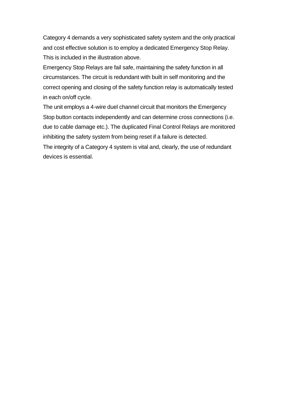Category 4 demands a very sophisticated safety system and the only practical and cost effective solution is to employ a dedicated Emergency Stop Relay. This is included in the illustration above.

Emergency Stop Relays are fail safe, maintaining the safety function in all circumstances. The circuit is redundant with built in self monitoring and the correct opening and closing of the safety function relay is automatically tested in each on/off cycle.

The unit employs a 4-wire duel channel circuit that monitors the Emergency Stop button contacts independently and can determine cross connections (i.e. due to cable damage etc.). The duplicated Final Control Relays are monitored inhibiting the safety system from being reset if a failure is detected.

The integrity of a Category 4 system is vital and, clearly, the use of redundant devices is essential.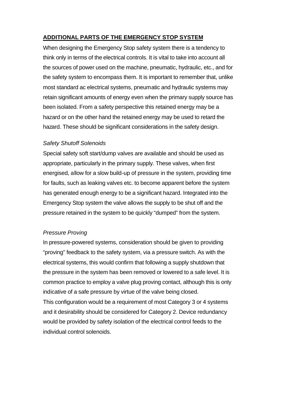## **ADDITIONAL PARTS OF THE EMERGENCY STOP SYSTEM**

When designing the Emergency Stop safety system there is a tendency to think only in terms of the electrical controls. It is vital to take into account all the sources of power used on the machine, pneumatic, hydraulic, etc., and for the safety system to encompass them. It is important to remember that, unlike most standard ac electrical systems, pneumatic and hydraulic systems may retain significant amounts of energy even when the primary supply source has been isolated. From a safety perspective this retained energy may be a hazard or on the other hand the retained energy may be used to retard the hazard. These should be significant considerations in the safety design.

#### *Safety Shutoff Solenoids*

Special safety soft start/dump valves are available and should be used as appropriate, particularly in the primary supply. These valves, when first energised, allow for a slow build-up of pressure in the system, providing time for faults, such as leaking valves etc. to become apparent before the system has generated enough energy to be a significant hazard. Integrated into the Emergency Stop system the valve allows the supply to be shut off and the pressure retained in the system to be quickly "dumped" from the system.

#### *Pressure Proving*

In pressure-powered systems, consideration should be given to providing "proving" feedback to the safety system, via a pressure switch. As with the electrical systems, this would confirm that following a supply shutdown that the pressure in the system has been removed or lowered to a safe level. It is common practice to employ a valve plug proving contact, although this is only indicative of a safe pressure by virtue of the valve being closed. This configuration would be a requirement of most Category 3 or 4 systems and it desirability should be considered for Category 2. Device redundancy

would be provided by safety isolation of the electrical control feeds to the individual control solenoids.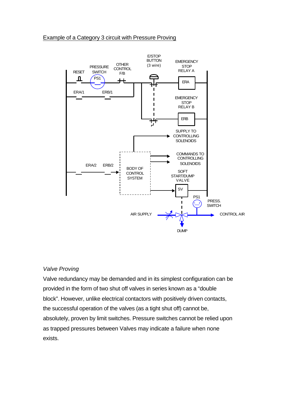#### Example of a Category 3 circuit with Pressure Proving



#### *Valve Proving*

Valve redundancy may be demanded and in its simplest configuration can be provided in the form of two shut off valves in series known as a "double block". However, unlike electrical contactors with positively driven contacts, the successful operation of the valves (as a tight shut off) cannot be, absolutely, proven by limit switches. Pressure switches cannot be relied upon as trapped pressures between Valves may indicate a failure when none exists.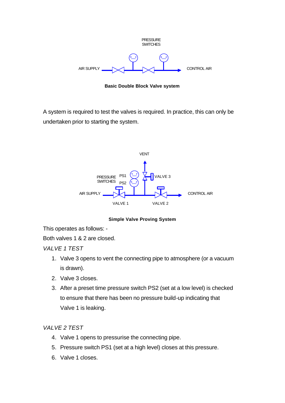

**Basic Double Block Valve system**

A system is required to test the valves is required. In practice, this can only be undertaken prior to starting the system.



**Simple Valve Proving System**

This operates as follows: -

Both valves 1 & 2 are closed.

*VALVE 1 TEST*

- 1. Valve 3 opens to vent the connecting pipe to atmosphere (or a vacuum is drawn).
- 2. Valve 3 closes.
- 3. After a preset time pressure switch PS2 (set at a low level) is checked to ensure that there has been no pressure build-up indicating that Valve 1 is leaking.

*VALVE 2 TEST*

- 4. Valve 1 opens to pressurise the connecting pipe.
- 5. Pressure switch PS1 (set at a high level) closes at this pressure.
- 6. Valve 1 closes.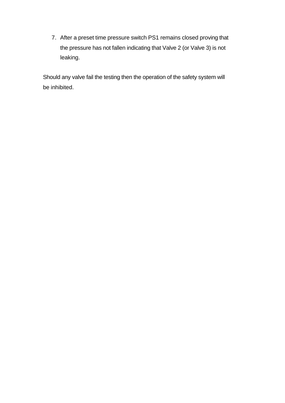7. After a preset time pressure switch PS1 remains closed proving that the pressure has not fallen indicating that Valve 2 (or Valve 3) is not leaking.

Should any valve fail the testing then the operation of the safety system will be inhibited.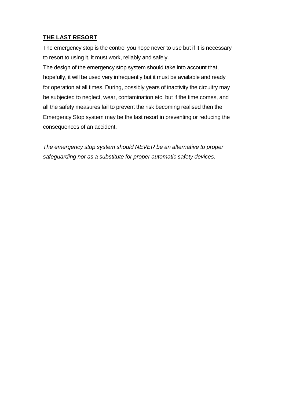## **THE LAST RESORT**

The emergency stop is the control you hope never to use but if it is necessary to resort to using it, it must work, reliably and safely.

The design of the emergency stop system should take into account that, hopefully, it will be used very infrequently but it must be available and ready for operation at all times. During, possibly years of inactivity the circuitry may be subjected to neglect, wear, contamination etc. but if the time comes, and all the safety measures fail to prevent the risk becoming realised then the Emergency Stop system may be the last resort in preventing or reducing the consequences of an accident.

*The emergency stop system should NEVER be an alternative to proper safeguarding nor as a substitute for proper automatic safety devices.*